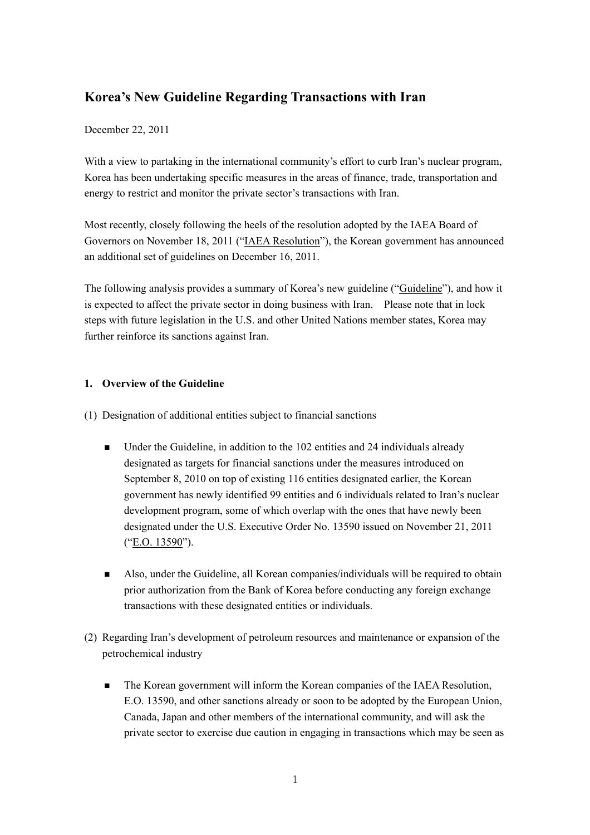# **Korea's New Guideline Regarding Transactions with Iran**

### December 22, 2011

With a view to partaking in the international community's effort to curb Iran's nuclear program, Korea has been undertaking specific measures in the areas of finance, trade, transportation and energy to restrict and monitor the private sector's transactions with Iran.

Most recently, closely following the heels of the resolution adopted by the IAEA Board of Governors on November 18, 2011 ("IAEA Resolution"), the Korean government has announced an additional set of guidelines on December 16, 2011.

The following analysis provides a summary of Korea's new guideline ("Guideline"), and how it is expected to affect the private sector in doing business with Iran. Please note that in lock steps with future legislation in the U.S. and other United Nations member states, Korea may further reinforce its sanctions against Iran.

### **1. Overview of the Guideline**

- (1) Designation of additional entities subject to financial sanctions
	- Under the Guideline, in addition to the 102 entities and 24 individuals already designated as targets for financial sanctions under the measures introduced on September 8, 2010 on top of existing 116 entities designated earlier, the Korean government has newly identified 99 entities and 6 individuals related to Iran's nuclear development program, some of which overlap with the ones that have newly been designated under the U.S. Executive Order No. 13590 issued on November 21, 2011 ("E.O. 13590").
	- Also, under the Guideline, all Korean companies/individuals will be required to obtain prior authorization from the Bank of Korea before conducting any foreign exchange transactions with these designated entities or individuals.
- (2) Regarding Iran's development of petroleum resources and maintenance or expansion of the petrochemical industry
	- The Korean government will inform the Korean companies of the IAEA Resolution, E.O. 13590, and other sanctions already or soon to be adopted by the European Union, Canada, Japan and other members of the international community, and will ask the private sector to exercise due caution in engaging in transactions which may be seen as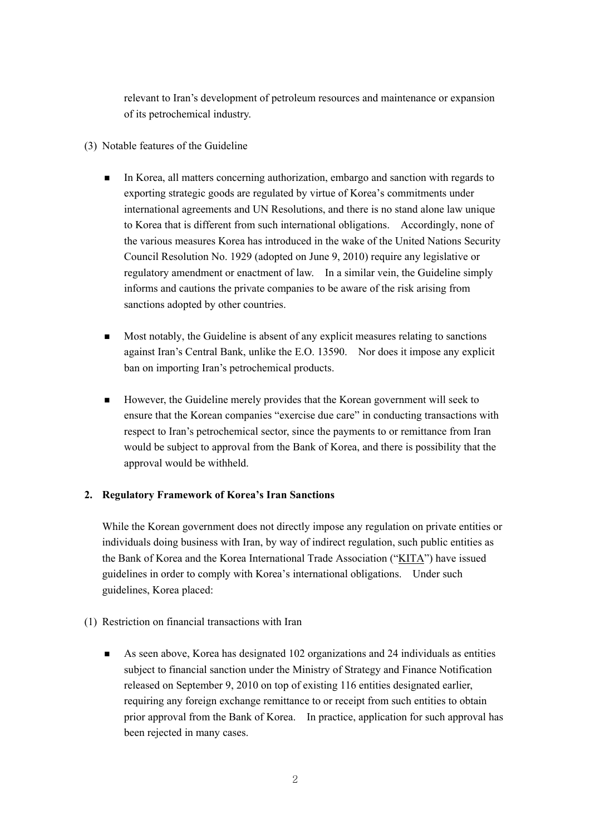relevant to Iran's development of petroleum resources and maintenance or expansion of its petrochemical industry.

- (3) Notable features of the Guideline
	- In Korea, all matters concerning authorization, embargo and sanction with regards to exporting strategic goods are regulated by virtue of Korea's commitments under international agreements and UN Resolutions, and there is no stand alone law unique to Korea that is different from such international obligations. Accordingly, none of the various measures Korea has introduced in the wake of the United Nations Security Council Resolution No. 1929 (adopted on June 9, 2010) require any legislative or regulatory amendment or enactment of law. In a similar vein, the Guideline simply informs and cautions the private companies to be aware of the risk arising from sanctions adopted by other countries.
	- Most notably, the Guideline is absent of any explicit measures relating to sanctions against Iran's Central Bank, unlike the E.O. 13590. Nor does it impose any explicit ban on importing Iran's petrochemical products.
	- However, the Guideline merely provides that the Korean government will seek to ensure that the Korean companies "exercise due care" in conducting transactions with respect to Iran's petrochemical sector, since the payments to or remittance from Iran would be subject to approval from the Bank of Korea, and there is possibility that the approval would be withheld.

## **2. Regulatory Framework of Korea's Iran Sanctions**

While the Korean government does not directly impose any regulation on private entities or individuals doing business with Iran, by way of indirect regulation, such public entities as the Bank of Korea and the Korea International Trade Association ("KITA") have issued guidelines in order to comply with Korea's international obligations. Under such guidelines, Korea placed:

- (1) Restriction on financial transactions with Iran
	- As seen above, Korea has designated  $102$  organizations and 24 individuals as entities subject to financial sanction under the Ministry of Strategy and Finance Notification released on September 9, 2010 on top of existing 116 entities designated earlier, requiring any foreign exchange remittance to or receipt from such entities to obtain prior approval from the Bank of Korea. In practice, application for such approval has been rejected in many cases.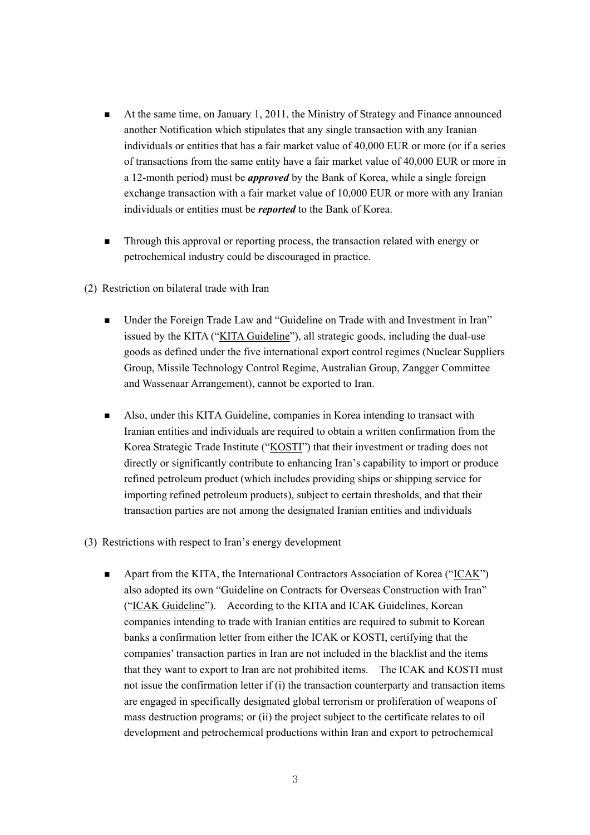- At the same time, on January 1, 2011, the Ministry of Strategy and Finance announced another Notification which stipulates that any single transaction with any Iranian individuals or entities that has a fair market value of 40,000 EUR or more (or if a series of transactions from the same entity have a fair market value of 40,000 EUR or more in a 12-month period) must be *approved* by the Bank of Korea, while a single foreign exchange transaction with a fair market value of 10,000 EUR or more with any Iranian individuals or entities must be *reported* to the Bank of Korea.
- **Through this approval or reporting process, the transaction related with energy or** petrochemical industry could be discouraged in practice.
- (2) Restriction on bilateral trade with Iran
	- Under the Foreign Trade Law and "Guideline on Trade with and Investment in Iran" issued by the KITA ("KITA Guideline"), all strategic goods, including the dual-use goods as defined under the five international export control regimes (Nuclear Suppliers Group, Missile Technology Control Regime, Australian Group, Zangger Committee and Wassenaar Arrangement), cannot be exported to Iran.
	- Also, under this KITA Guideline, companies in Korea intending to transact with Iranian entities and individuals are required to obtain a written confirmation from the Korea Strategic Trade Institute ("KOSTI") that their investment or trading does not directly or significantly contribute to enhancing Iran's capability to import or produce refined petroleum product (which includes providing ships or shipping service for importing refined petroleum products), subject to certain thresholds, and that their transaction parties are not among the designated Iranian entities and individuals
- (3) Restrictions with respect to Iran's energy development
	- Apart from the KITA, the International Contractors Association of Korea ("ICAK") also adopted its own "Guideline on Contracts for Overseas Construction with Iran" ("ICAK Guideline"). According to the KITA and ICAK Guidelines, Korean companies intending to trade with Iranian entities are required to submit to Korean banks a confirmation letter from either the ICAK or KOSTI, certifying that the companies' transaction parties in Iran are not included in the blacklist and the items that they want to export to Iran are not prohibited items. The ICAK and KOSTI must not issue the confirmation letter if (i) the transaction counterparty and transaction items are engaged in specifically designated global terrorism or proliferation of weapons of mass destruction programs; or (ii) the project subject to the certificate relates to oil development and petrochemical productions within Iran and export to petrochemical